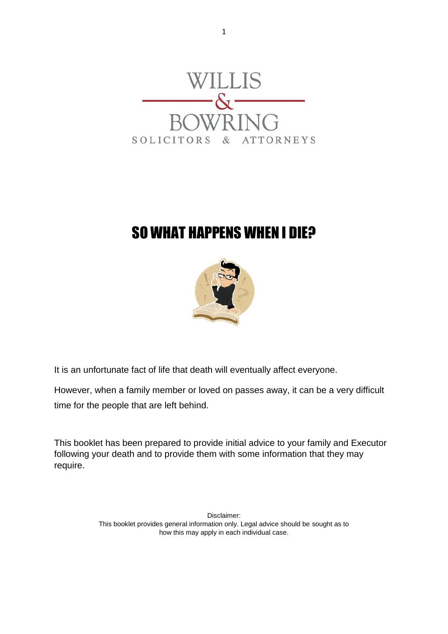

# SO WHAT HAPPENS WHEN I DIE?



It is an unfortunate fact of life that death will eventually affect everyone.

However, when a family member or loved on passes away, it can be a very difficult time for the people that are left behind.

This booklet has been prepared to provide initial advice to your family and Executor following your death and to provide them with some information that they may require.

> Disclaimer: This booklet provides general information only. Legal advice should be sought as to how this may apply in each individual case.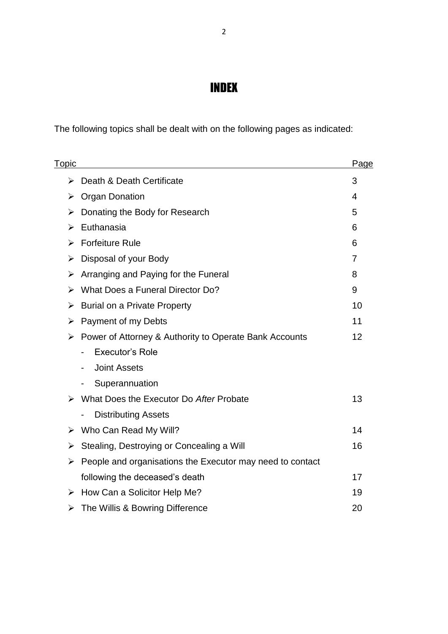# INDEX

The following topics shall be dealt with on the following pages as indicated:

| T <u>opic</u> |                                                            | Page |
|---------------|------------------------------------------------------------|------|
| ⋗             | Death & Death Certificate                                  | 3    |
| ➤             | <b>Organ Donation</b>                                      | 4    |
| ➤             | Donating the Body for Research                             | 5    |
| ➤             | Euthanasia                                                 | 6    |
| ⋗             | <b>Forfeiture Rule</b>                                     | 6    |
| ⋗             | Disposal of your Body                                      | 7    |
| ➤             | Arranging and Paying for the Funeral                       | 8    |
| ⋗             | What Does a Funeral Director Do?                           | 9    |
| ⋗             | <b>Burial on a Private Property</b>                        | 10   |
| ➤             | Payment of my Debts                                        | 11   |
| ➤             | Power of Attorney & Authority to Operate Bank Accounts     | 12   |
|               | Executor's Role                                            |      |
|               | <b>Joint Assets</b><br>$\blacksquare$                      |      |
|               | Superannuation                                             |      |
| ➤             | What Does the Executor Do After Probate                    | 13   |
|               | <b>Distributing Assets</b><br>$\qquad \qquad \blacksquare$ |      |
| ➤             | Who Can Read My Will?                                      | 14   |
| ➤             | Stealing, Destroying or Concealing a Will                  | 16   |
| ➤             | People and organisations the Executor may need to contact  |      |
|               | following the deceased's death                             | 17   |
| ➤             | How Can a Solicitor Help Me?                               | 19   |
| ➤             | The Willis & Bowring Difference                            | 20   |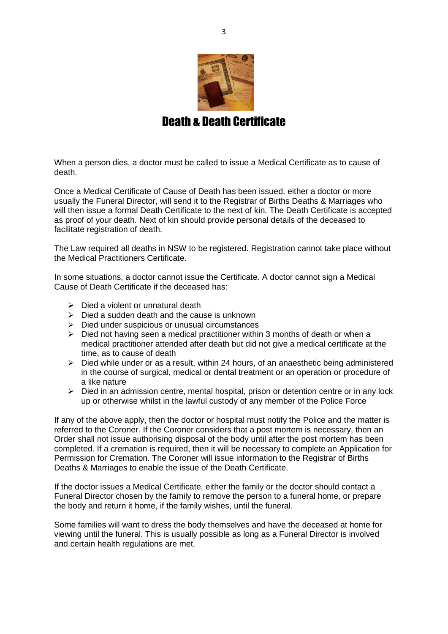

### Death & Death Certificate

When a person dies, a doctor must be called to issue a Medical Certificate as to cause of death.

Once a Medical Certificate of Cause of Death has been issued, either a doctor or more usually the Funeral Director, will send it to the Registrar of Births Deaths & Marriages who will then issue a formal Death Certificate to the next of kin. The Death Certificate is accepted as proof of your death. Next of kin should provide personal details of the deceased to facilitate registration of death.

The Law required all deaths in NSW to be registered. Registration cannot take place without the Medical Practitioners Certificate.

In some situations, a doctor cannot issue the Certificate. A doctor cannot sign a Medical Cause of Death Certificate if the deceased has:

- $\triangleright$  Died a violent or unnatural death
- $\triangleright$  Died a sudden death and the cause is unknown
- $\triangleright$  Died under suspicious or unusual circumstances
- $\triangleright$  Died not having seen a medical practitioner within 3 months of death or when a medical practitioner attended after death but did not give a medical certificate at the time, as to cause of death
- $\triangleright$  Died while under or as a result, within 24 hours, of an anaesthetic being administered in the course of surgical, medical or dental treatment or an operation or procedure of a like nature
- $\triangleright$  Died in an admission centre, mental hospital, prison or detention centre or in any lock up or otherwise whilst in the lawful custody of any member of the Police Force

If any of the above apply, then the doctor or hospital must notify the Police and the matter is referred to the Coroner. If the Coroner considers that a post mortem is necessary, then an Order shall not issue authorising disposal of the body until after the post mortem has been completed. If a cremation is required, then it will be necessary to complete an Application for Permission for Cremation. The Coroner will issue information to the Registrar of Births Deaths & Marriages to enable the issue of the Death Certificate.

If the doctor issues a Medical Certificate, either the family or the doctor should contact a Funeral Director chosen by the family to remove the person to a funeral home, or prepare the body and return it home, if the family wishes, until the funeral.

Some families will want to dress the body themselves and have the deceased at home for viewing until the funeral. This is usually possible as long as a Funeral Director is involved and certain health regulations are met.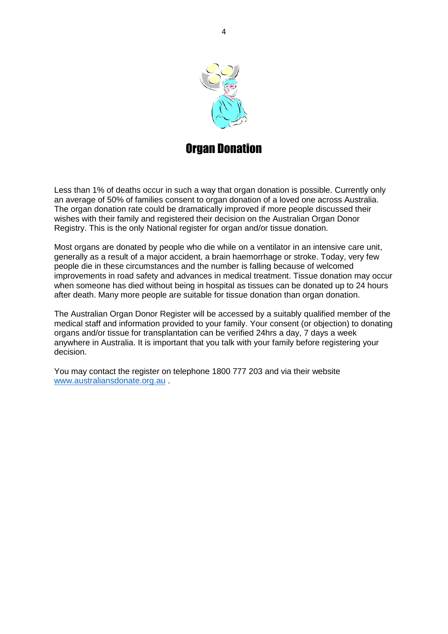

### **Organ Donation**

Less than 1% of deaths occur in such a way that organ donation is possible. Currently only an average of 50% of families consent to organ donation of a loved one across Australia. The organ donation rate could be dramatically improved if more people discussed their wishes with their family and registered their decision on the Australian Organ Donor Registry. This is the only National register for organ and/or tissue donation.

Most organs are donated by people who die while on a ventilator in an intensive care unit, generally as a result of a major accident, a brain haemorrhage or stroke. Today, very few people die in these circumstances and the number is falling because of welcomed improvements in road safety and advances in medical treatment. Tissue donation may occur when someone has died without being in hospital as tissues can be donated up to 24 hours after death. Many more people are suitable for tissue donation than organ donation.

The Australian Organ Donor Register will be accessed by a suitably qualified member of the medical staff and information provided to your family. Your consent (or objection) to donating organs and/or tissue for transplantation can be verified 24hrs a day, 7 days a week anywhere in Australia. It is important that you talk with your family before registering your decision.

You may contact the register on telephone 1800 777 203 and via their website [www.australiansdonate.org.au](http://www.australiansdonate.org.au/) .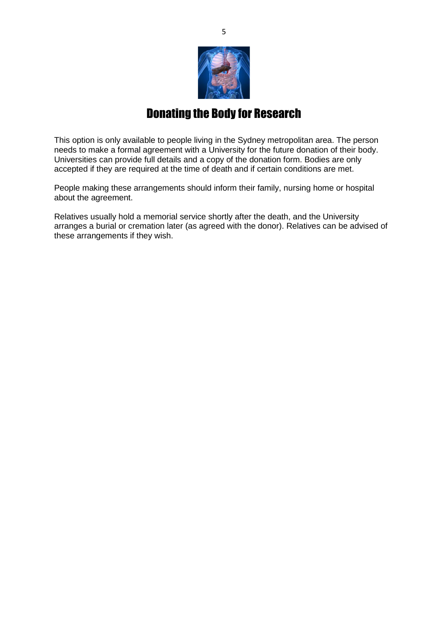

### Donating the Body for Research

This option is only available to people living in the Sydney metropolitan area. The person needs to make a formal agreement with a University for the future donation of their body. Universities can provide full details and a copy of the donation form. Bodies are only accepted if they are required at the time of death and if certain conditions are met.

People making these arrangements should inform their family, nursing home or hospital about the agreement.

Relatives usually hold a memorial service shortly after the death, and the University arranges a burial or cremation later (as agreed with the donor). Relatives can be advised of these arrangements if they wish.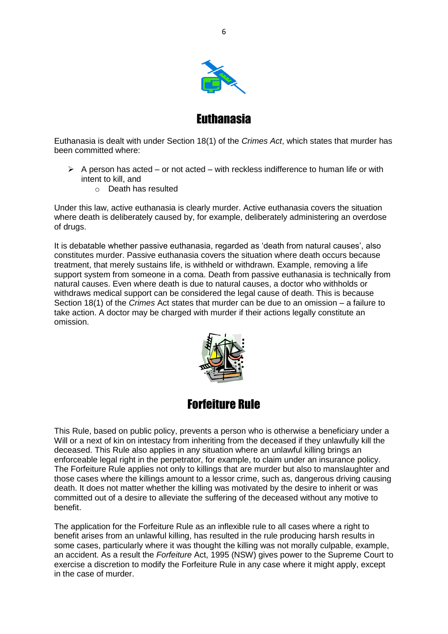

Euthanasia

Euthanasia is dealt with under Section 18(1) of the *Crimes Act*, which states that murder has been committed where:

- $\triangleright$  A person has acted or not acted with reckless indifference to human life or with intent to kill, and
	- o Death has resulted

Under this law, active euthanasia is clearly murder. Active euthanasia covers the situation where death is deliberately caused by, for example, deliberately administering an overdose of drugs.

It is debatable whether passive euthanasia, regarded as 'death from natural causes', also constitutes murder. Passive euthanasia covers the situation where death occurs because treatment, that merely sustains life, is withheld or withdrawn. Example, removing a life support system from someone in a coma. Death from passive euthanasia is technically from natural causes. Even where death is due to natural causes, a doctor who withholds or withdraws medical support can be considered the legal cause of death. This is because Section 18(1) of the *Crimes* Act states that murder can be due to an omission – a failure to take action. A doctor may be charged with murder if their actions legally constitute an omission.





This Rule, based on public policy, prevents a person who is otherwise a beneficiary under a Will or a next of kin on intestacy from inheriting from the deceased if they unlawfully kill the deceased. This Rule also applies in any situation where an unlawful killing brings an enforceable legal right in the perpetrator, for example, to claim under an insurance policy. The Forfeiture Rule applies not only to killings that are murder but also to manslaughter and those cases where the killings amount to a lessor crime, such as, dangerous driving causing death. It does not matter whether the killing was motivated by the desire to inherit or was committed out of a desire to alleviate the suffering of the deceased without any motive to benefit.

The application for the Forfeiture Rule as an inflexible rule to all cases where a right to benefit arises from an unlawful killing, has resulted in the rule producing harsh results in some cases, particularly where it was thought the killing was not morally culpable, example, an accident. As a result the *Forfeiture* Act, 1995 (NSW) gives power to the Supreme Court to exercise a discretion to modify the Forfeiture Rule in any case where it might apply, except in the case of murder.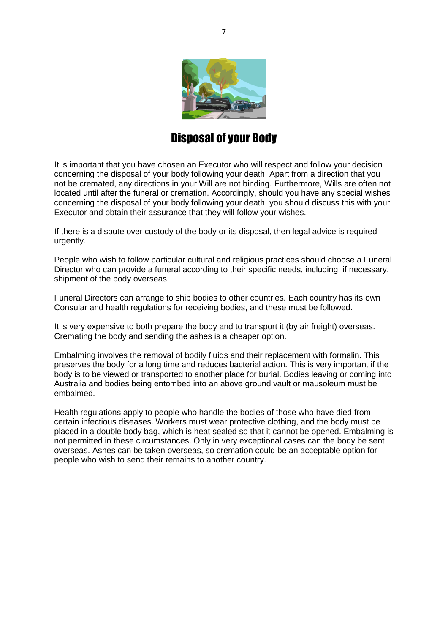

### Disposal of your Body

It is important that you have chosen an Executor who will respect and follow your decision concerning the disposal of your body following your death. Apart from a direction that you not be cremated, any directions in your Will are not binding. Furthermore, Wills are often not located until after the funeral or cremation. Accordingly, should you have any special wishes concerning the disposal of your body following your death, you should discuss this with your Executor and obtain their assurance that they will follow your wishes.

If there is a dispute over custody of the body or its disposal, then legal advice is required urgently.

People who wish to follow particular cultural and religious practices should choose a Funeral Director who can provide a funeral according to their specific needs, including, if necessary, shipment of the body overseas.

Funeral Directors can arrange to ship bodies to other countries. Each country has its own Consular and health regulations for receiving bodies, and these must be followed.

It is very expensive to both prepare the body and to transport it (by air freight) overseas. Cremating the body and sending the ashes is a cheaper option.

Embalming involves the removal of bodily fluids and their replacement with formalin. This preserves the body for a long time and reduces bacterial action. This is very important if the body is to be viewed or transported to another place for burial. Bodies leaving or coming into Australia and bodies being entombed into an above ground vault or mausoleum must be embalmed.

Health regulations apply to people who handle the bodies of those who have died from certain infectious diseases. Workers must wear protective clothing, and the body must be placed in a double body bag, which is heat sealed so that it cannot be opened. Embalming is not permitted in these circumstances. Only in very exceptional cases can the body be sent overseas. Ashes can be taken overseas, so cremation could be an acceptable option for people who wish to send their remains to another country.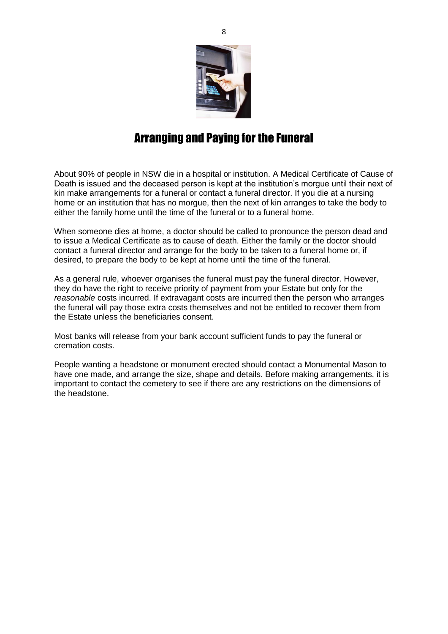

### Arranging and Paying for the Funeral

About 90% of people in NSW die in a hospital or institution. A Medical Certificate of Cause of Death is issued and the deceased person is kept at the institution's morgue until their next of kin make arrangements for a funeral or contact a funeral director. If you die at a nursing home or an institution that has no morgue, then the next of kin arranges to take the body to either the family home until the time of the funeral or to a funeral home.

When someone dies at home, a doctor should be called to pronounce the person dead and to issue a Medical Certificate as to cause of death. Either the family or the doctor should contact a funeral director and arrange for the body to be taken to a funeral home or, if desired, to prepare the body to be kept at home until the time of the funeral.

As a general rule, whoever organises the funeral must pay the funeral director. However, they do have the right to receive priority of payment from your Estate but only for the *reasonable* costs incurred. If extravagant costs are incurred then the person who arranges the funeral will pay those extra costs themselves and not be entitled to recover them from the Estate unless the beneficiaries consent.

Most banks will release from your bank account sufficient funds to pay the funeral or cremation costs.

People wanting a headstone or monument erected should contact a Monumental Mason to have one made, and arrange the size, shape and details. Before making arrangements, it is important to contact the cemetery to see if there are any restrictions on the dimensions of the headstone.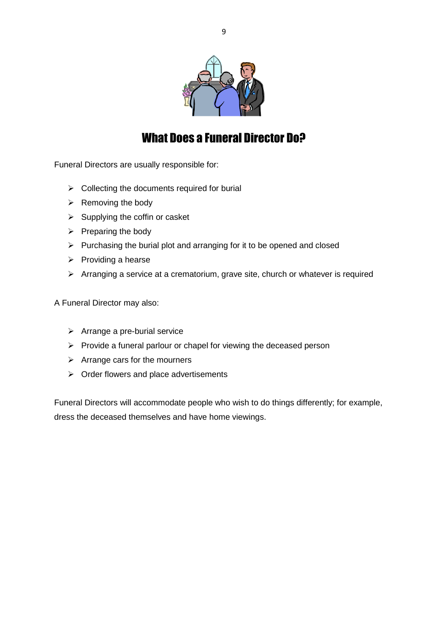

### What Does a Funeral Director Do?

Funeral Directors are usually responsible for:

- $\triangleright$  Collecting the documents required for burial
- $\triangleright$  Removing the body
- $\triangleright$  Supplying the coffin or casket
- $\triangleright$  Preparing the body
- $\triangleright$  Purchasing the burial plot and arranging for it to be opened and closed
- $\triangleright$  Providing a hearse
- $\triangleright$  Arranging a service at a crematorium, grave site, church or whatever is required

A Funeral Director may also:

- $\triangleright$  Arrange a pre-burial service
- $\triangleright$  Provide a funeral parlour or chapel for viewing the deceased person
- $\triangleright$  Arrange cars for the mourners
- $\triangleright$  Order flowers and place advertisements

Funeral Directors will accommodate people who wish to do things differently; for example, dress the deceased themselves and have home viewings.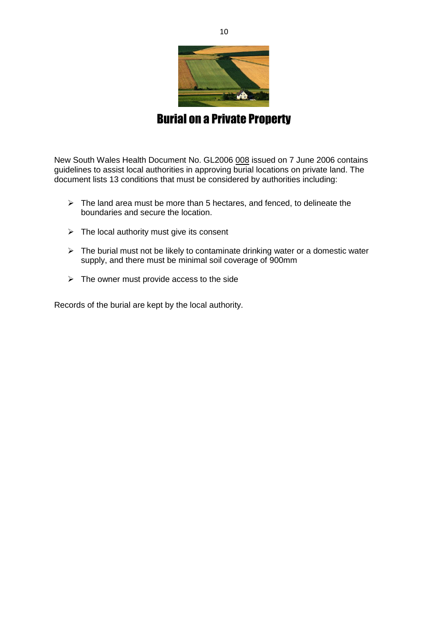

### Burial on a Private Property

New South Wales Health Document No. GL2006 008 issued on 7 June 2006 contains guidelines to assist local authorities in approving burial locations on private land. The document lists 13 conditions that must be considered by authorities including:

- $\triangleright$  The land area must be more than 5 hectares, and fenced, to delineate the boundaries and secure the location.
- $\triangleright$  The local authority must give its consent
- $\triangleright$  The burial must not be likely to contaminate drinking water or a domestic water supply, and there must be minimal soil coverage of 900mm
- $\triangleright$  The owner must provide access to the side

Records of the burial are kept by the local authority.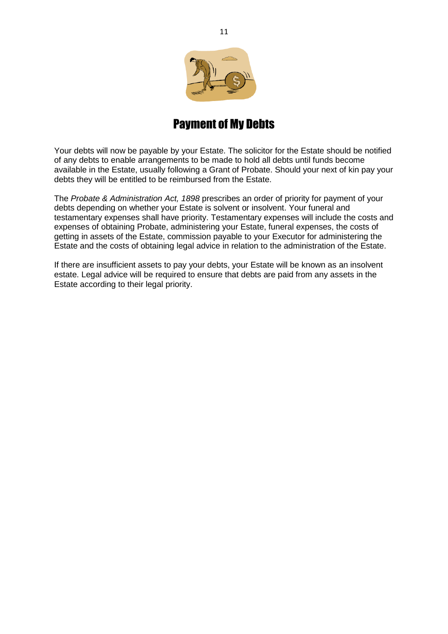

### Payment of My Debts

Your debts will now be payable by your Estate. The solicitor for the Estate should be notified of any debts to enable arrangements to be made to hold all debts until funds become available in the Estate, usually following a Grant of Probate. Should your next of kin pay your debts they will be entitled to be reimbursed from the Estate.

The *Probate & Administration Act, 1898* prescribes an order of priority for payment of your debts depending on whether your Estate is solvent or insolvent. Your funeral and testamentary expenses shall have priority. Testamentary expenses will include the costs and expenses of obtaining Probate, administering your Estate, funeral expenses, the costs of getting in assets of the Estate, commission payable to your Executor for administering the Estate and the costs of obtaining legal advice in relation to the administration of the Estate.

If there are insufficient assets to pay your debts, your Estate will be known as an insolvent estate. Legal advice will be required to ensure that debts are paid from any assets in the Estate according to their legal priority.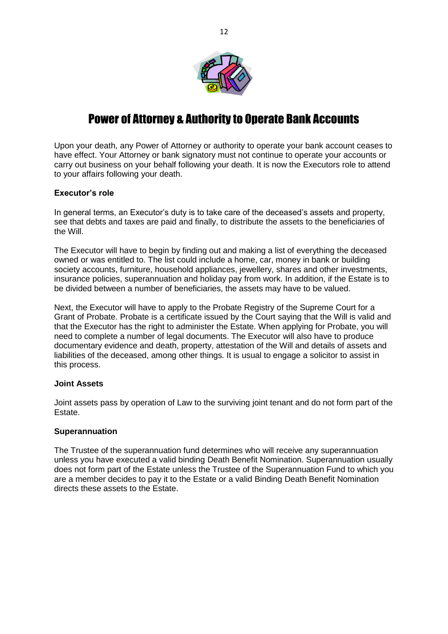

### Power of Attorney & Authority to Operate Bank Accounts

Upon your death, any Power of Attorney or authority to operate your bank account ceases to have effect. Your Attorney or bank signatory must not continue to operate your accounts or carry out business on your behalf following your death. It is now the Executors role to attend to your affairs following your death.

#### **Executor's role**

In general terms, an Executor's duty is to take care of the deceased's assets and property, see that debts and taxes are paid and finally, to distribute the assets to the beneficiaries of the Will.

The Executor will have to begin by finding out and making a list of everything the deceased owned or was entitled to. The list could include a home, car, money in bank or building society accounts, furniture, household appliances, jewellery, shares and other investments, insurance policies, superannuation and holiday pay from work. In addition, if the Estate is to be divided between a number of beneficiaries, the assets may have to be valued.

Next, the Executor will have to apply to the Probate Registry of the Supreme Court for a Grant of Probate. Probate is a certificate issued by the Court saying that the Will is valid and that the Executor has the right to administer the Estate. When applying for Probate, you will need to complete a number of legal documents. The Executor will also have to produce documentary evidence and death, property, attestation of the Will and details of assets and liabilities of the deceased, among other things. It is usual to engage a solicitor to assist in this process.

#### **Joint Assets**

Joint assets pass by operation of Law to the surviving joint tenant and do not form part of the Estate.

#### **Superannuation**

The Trustee of the superannuation fund determines who will receive any superannuation unless you have executed a valid binding Death Benefit Nomination. Superannuation usually does not form part of the Estate unless the Trustee of the Superannuation Fund to which you are a member decides to pay it to the Estate or a valid Binding Death Benefit Nomination directs these assets to the Estate.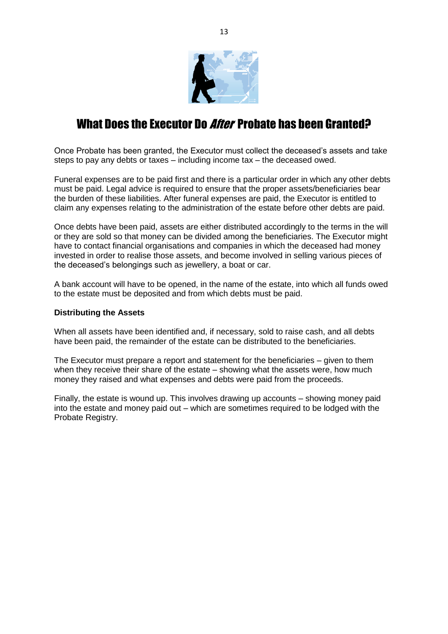

### What Does the Executor Do *After* Probate has been Granted?

Once Probate has been granted, the Executor must collect the deceased's assets and take steps to pay any debts or taxes – including income tax – the deceased owed.

Funeral expenses are to be paid first and there is a particular order in which any other debts must be paid. Legal advice is required to ensure that the proper assets/beneficiaries bear the burden of these liabilities. After funeral expenses are paid, the Executor is entitled to claim any expenses relating to the administration of the estate before other debts are paid.

Once debts have been paid, assets are either distributed accordingly to the terms in the will or they are sold so that money can be divided among the beneficiaries. The Executor might have to contact financial organisations and companies in which the deceased had money invested in order to realise those assets, and become involved in selling various pieces of the deceased's belongings such as jewellery, a boat or car.

A bank account will have to be opened, in the name of the estate, into which all funds owed to the estate must be deposited and from which debts must be paid.

#### **Distributing the Assets**

When all assets have been identified and, if necessary, sold to raise cash, and all debts have been paid, the remainder of the estate can be distributed to the beneficiaries.

The Executor must prepare a report and statement for the beneficiaries – given to them when they receive their share of the estate – showing what the assets were, how much money they raised and what expenses and debts were paid from the proceeds.

Finally, the estate is wound up. This involves drawing up accounts – showing money paid into the estate and money paid out – which are sometimes required to be lodged with the Probate Registry.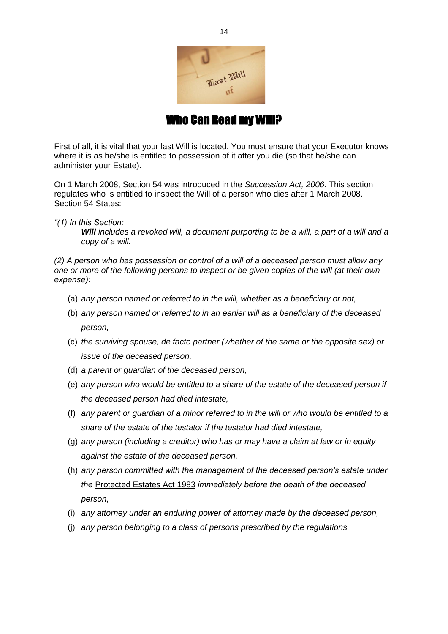

Who Can Read my Will?

First of all, it is vital that your last Will is located. You must ensure that your Executor knows where it is as he/she is entitled to possession of it after you die (so that he/she can administer your Estate).

On 1 March 2008, Section 54 was introduced in the *Succession Act, 2006.* This section regulates who is entitled to inspect the Will of a person who dies after 1 March 2008. Section 54 States:

*"(1) In this Section:* 

*Will includes a revoked will, a document purporting to be a will, a part of a will and a copy of a will.* 

*(2) A person who has possession or control of a will of a deceased person must allow any one or more of the following persons to inspect or be given copies of the will (at their own expense):*

- (a) *any person named or referred to in the will, whether as a beneficiary or not,*
- (b) *any person named or referred to in an earlier will as a beneficiary of the deceased person,*
- (c) *the surviving spouse, de facto partner (whether of the same or the opposite sex) or issue of the deceased person,*
- (d) *a parent or guardian of the deceased person,*
- (e) *any person who would be entitled to a share of the estate of the deceased person if the deceased person had died intestate,*
- (f) *any parent or guardian of a minor referred to in the will or who would be entitled to a share of the estate of the testator if the testator had died intestate,*
- (g) *any person (including a creditor) who has or may have a claim at law or in equity against the estate of the deceased person,*
- (h) *any person committed with the management of the deceased person's estate under the* Protected Estates Act 1983 *immediately before the death of the deceased person,*
- (i) *any attorney under an enduring power of attorney made by the deceased person,*
- (j) *any person belonging to a class of persons prescribed by the regulations.*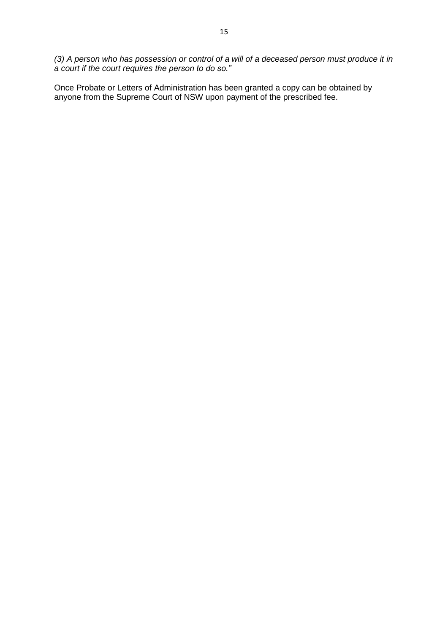*(3) A person who has possession or control of a will of a deceased person must produce it in a court if the court requires the person to do so."*

Once Probate or Letters of Administration has been granted a copy can be obtained by anyone from the Supreme Court of NSW upon payment of the prescribed fee.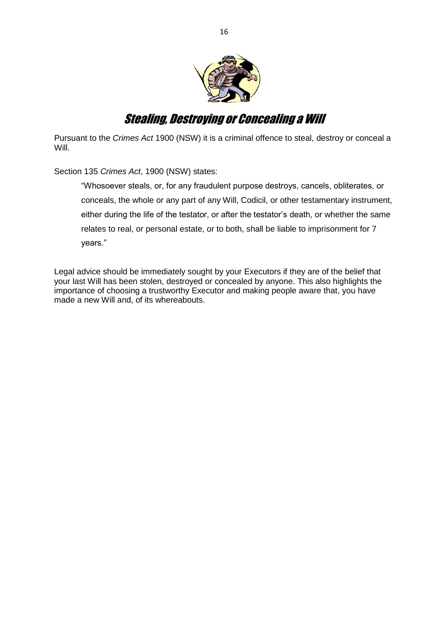

### Stealing, Destroying or Concealing a Will

Pursuant to the *Crimes Act* 1900 (NSW) it is a criminal offence to steal, destroy or conceal a Will.

Section 135 *Crimes Act*, 1900 (NSW) states:

"Whosoever steals, or, for any fraudulent purpose destroys, cancels, obliterates, or conceals, the whole or any part of any Will, Codicil, or other testamentary instrument, either during the life of the testator, or after the testator's death, or whether the same relates to real, or personal estate, or to both, shall be liable to imprisonment for 7 years."

Legal advice should be immediately sought by your Executors if they are of the belief that your last Will has been stolen, destroyed or concealed by anyone. This also highlights the importance of choosing a trustworthy Executor and making people aware that, you have made a new Will and, of its whereabouts.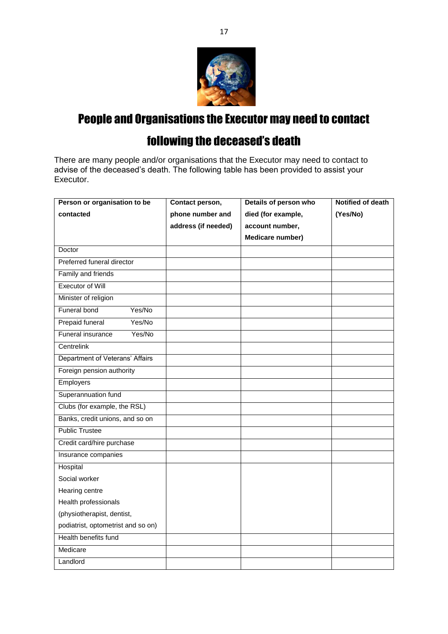

# People and Organisations the Executor may need to contact

# following the deceased's death

There are many people and/or organisations that the Executor may need to contact to advise of the deceased's death. The following table has been provided to assist your Executor.

| Person or organisation to be       | Contact person,     | Details of person who | <b>Notified of death</b> |
|------------------------------------|---------------------|-----------------------|--------------------------|
| contacted                          | phone number and    | died (for example,    | (Yes/No)                 |
|                                    | address (if needed) | account number,       |                          |
|                                    |                     | Medicare number)      |                          |
| Doctor                             |                     |                       |                          |
| Preferred funeral director         |                     |                       |                          |
| Family and friends                 |                     |                       |                          |
| <b>Executor of Will</b>            |                     |                       |                          |
| Minister of religion               |                     |                       |                          |
| Funeral bond<br>Yes/No             |                     |                       |                          |
| Yes/No<br>Prepaid funeral          |                     |                       |                          |
| Funeral insurance<br>Yes/No        |                     |                       |                          |
| Centrelink                         |                     |                       |                          |
| Department of Veterans' Affairs    |                     |                       |                          |
| Foreign pension authority          |                     |                       |                          |
| Employers                          |                     |                       |                          |
| Superannuation fund                |                     |                       |                          |
| Clubs (for example, the RSL)       |                     |                       |                          |
| Banks, credit unions, and so on    |                     |                       |                          |
| <b>Public Trustee</b>              |                     |                       |                          |
| Credit card/hire purchase          |                     |                       |                          |
| Insurance companies                |                     |                       |                          |
| Hospital                           |                     |                       |                          |
| Social worker                      |                     |                       |                          |
| Hearing centre                     |                     |                       |                          |
| Health professionals               |                     |                       |                          |
| (physiotherapist, dentist,         |                     |                       |                          |
| podiatrist, optometrist and so on) |                     |                       |                          |
| Health benefits fund               |                     |                       |                          |
| Medicare                           |                     |                       |                          |
| Landlord                           |                     |                       |                          |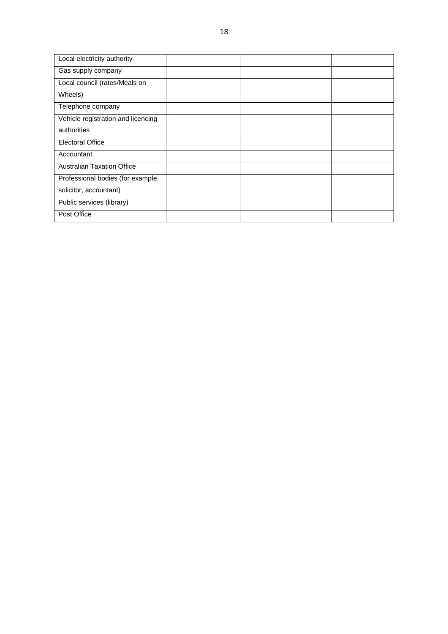| Local electricity authority        |  |  |
|------------------------------------|--|--|
| Gas supply company                 |  |  |
| Local council (rates/Meals on      |  |  |
| Wheels)                            |  |  |
| Telephone company                  |  |  |
| Vehicle registration and licencing |  |  |
| authorities                        |  |  |
| <b>Electoral Office</b>            |  |  |
| Accountant                         |  |  |
| <b>Australian Taxation Office</b>  |  |  |
| Professional bodies (for example,  |  |  |
| solicitor, accountant)             |  |  |
| Public services (library)          |  |  |
| Post Office                        |  |  |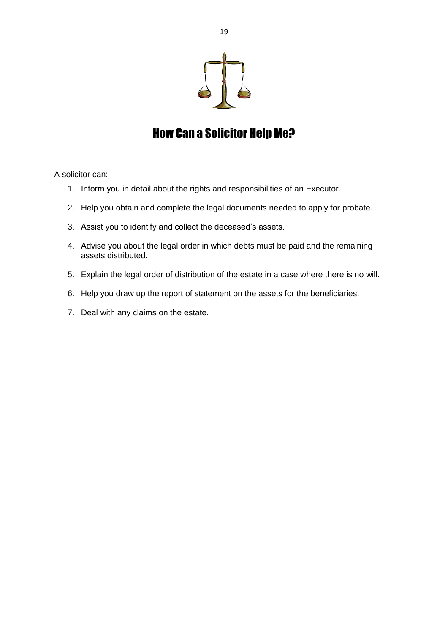

# How Can a Solicitor Help Me?

A solicitor can:-

- 1. Inform you in detail about the rights and responsibilities of an Executor.
- 2. Help you obtain and complete the legal documents needed to apply for probate.
- 3. Assist you to identify and collect the deceased's assets.
- 4. Advise you about the legal order in which debts must be paid and the remaining assets distributed.
- 5. Explain the legal order of distribution of the estate in a case where there is no will.
- 6. Help you draw up the report of statement on the assets for the beneficiaries.
- 7. Deal with any claims on the estate.